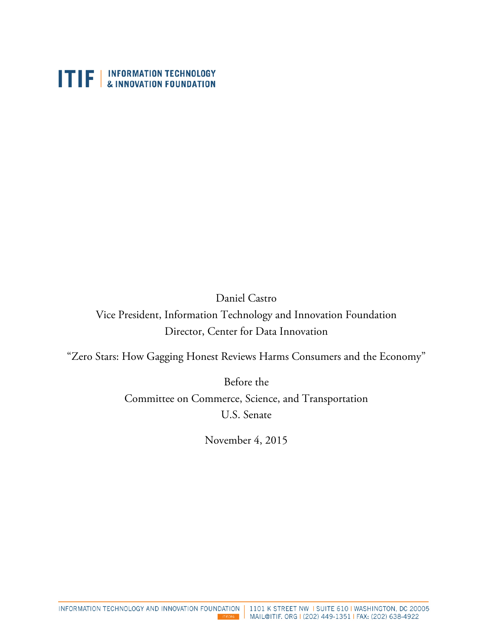

Daniel Castro Vice President, Information Technology and Innovation Foundation Director, Center for Data Innovation

"Zero Stars: How Gagging Honest Reviews Harms Consumers and the Economy"

Before the Committee on Commerce, Science, and Transportation U.S. Senate

November 4, 2015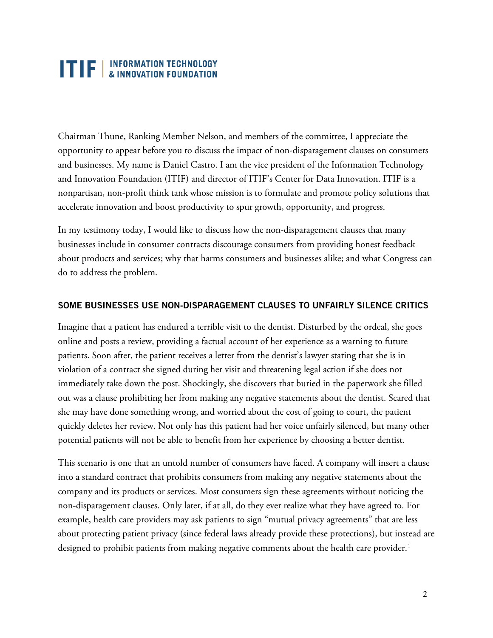## **TTP** INFORMATION TECHNOLOGY

Chairman Thune, Ranking Member Nelson, and members of the committee, I appreciate the opportunity to appear before you to discuss the impact of non-disparagement clauses on consumers and businesses. My name is Daniel Castro. I am the vice president of the Information Technology and Innovation Foundation (ITIF) and director of ITIF's Center for Data Innovation. ITIF is a nonpartisan, non-profit think tank whose mission is to formulate and promote policy solutions that accelerate innovation and boost productivity to spur growth, opportunity, and progress.

In my testimony today, I would like to discuss how the non-disparagement clauses that many businesses include in consumer contracts discourage consumers from providing honest feedback about products and services; why that harms consumers and businesses alike; and what Congress can do to address the problem.

#### **SOME BUSINESSES USE NON-DISPARAGEMENT CLAUSES TO UNFAIRLY SILENCE CRITICS**

Imagine that a patient has endured a terrible visit to the dentist. Disturbed by the ordeal, she goes online and posts a review, providing a factual account of her experience as a warning to future patients. Soon after, the patient receives a letter from the dentist's lawyer stating that she is in violation of a contract she signed during her visit and threatening legal action if she does not immediately take down the post. Shockingly, she discovers that buried in the paperwork she filled out was a clause prohibiting her from making any negative statements about the dentist. Scared that she may have done something wrong, and worried about the cost of going to court, the patient quickly deletes her review. Not only has this patient had her voice unfairly silenced, but many other potential patients will not be able to benefit from her experience by choosing a better dentist.

This scenario is one that an untold number of consumers have faced. A company will insert a clause into a standard contract that prohibits consumers from making any negative statements about the company and its products or services. Most consumers sign these agreements without noticing the non-disparagement clauses. Only later, if at all, do they ever realize what they have agreed to. For example, health care providers may ask patients to sign "mutual privacy agreements" that are less about protecting patient privacy (since federal laws already provide these protections), but instead are designed to prohibit patients from making negative comments about the health care provider.<sup>1</sup>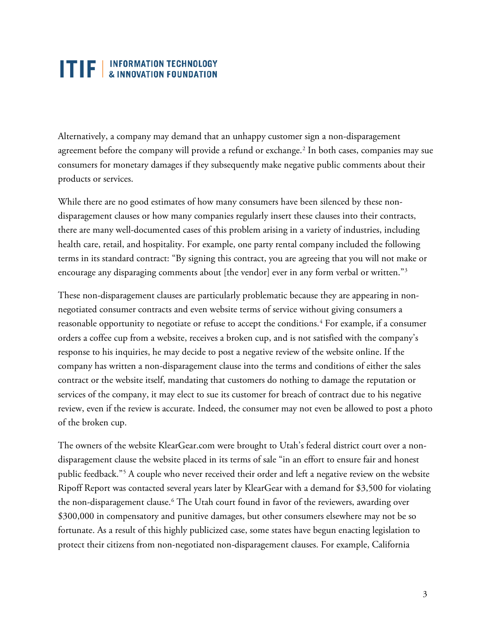### **TTP EXECUTED** INFORMATION TECHNOLOGY

Alternatively, a company may demand that an unhappy customer sign a non-disparagement agreement before the company will provide a refund or exchange.<sup>[2](#page-8-0)</sup> In both cases, companies may sue consumers for monetary damages if they subsequently make negative public comments about their products or services.

While there are no good estimates of how many consumers have been silenced by these nondisparagement clauses or how many companies regularly insert these clauses into their contracts, there are many well-documented cases of this problem arising in a variety of industries, including health care, retail, and hospitality. For example, one party rental company included the following terms in its standard contract: "By signing this contract, you are agreeing that you will not make or encourage any disparaging comments about [the vendor] ever in any form verbal or written."<sup>[3](#page-8-1)</sup>

These non-disparagement clauses are particularly problematic because they are appearing in nonnegotiated consumer contracts and even website terms of service without giving consumers a reasonable opportunity to negotiate or refuse to accept the conditions.<sup>[4](#page-8-2)</sup> For example, if a consumer orders a coffee cup from a website, receives a broken cup, and is not satisfied with the company's response to his inquiries, he may decide to post a negative review of the website online. If the company has written a non-disparagement clause into the terms and conditions of either the sales contract or the website itself, mandating that customers do nothing to damage the reputation or services of the company, it may elect to sue its customer for breach of contract due to his negative review, even if the review is accurate. Indeed, the consumer may not even be allowed to post a photo of the broken cup.

The owners of the website KlearGear.com were brought to Utah's federal district court over a nondisparagement clause the website placed in its terms of sale "in an effort to ensure fair and honest public feedback."[5](#page-8-3) A couple who never received their order and left a negative review on the website Ripoff Report was contacted several years later by KlearGear with a demand for \$3,500 for violating the non-disparagement clause.<sup>[6](#page-8-4)</sup> The Utah court found in favor of the reviewers, awarding over \$300,000 in compensatory and punitive damages, but other consumers elsewhere may not be so fortunate. As a result of this highly publicized case, some states have begun enacting legislation to protect their citizens from non-negotiated non-disparagement clauses. For example, California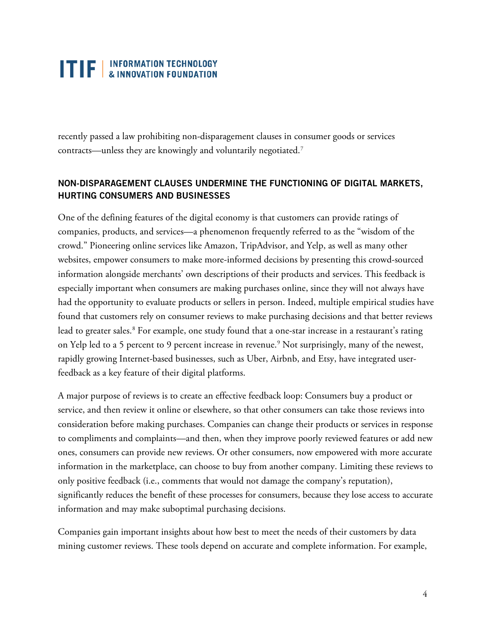# **TTP** INFORMATION TECHNOLOGY

recently passed a law prohibiting non-disparagement clauses in consumer goods or services contracts—unless they are knowingly and voluntarily negotiated.[7](#page-8-5)

### **NON-DISPARAGEMENT CLAUSES UNDERMINE THE FUNCTIONING OF DIGITAL MARKETS, HURTING CONSUMERS AND BUSINESSES**

One of the defining features of the digital economy is that customers can provide ratings of companies, products, and services—a phenomenon frequently referred to as the "wisdom of the crowd." Pioneering online services like Amazon, TripAdvisor, and Yelp, as well as many other websites, empower consumers to make more-informed decisions by presenting this crowd-sourced information alongside merchants' own descriptions of their products and services. This feedback is especially important when consumers are making purchases online, since they will not always have had the opportunity to evaluate products or sellers in person. Indeed, multiple empirical studies have found that customers rely on consumer reviews to make purchasing decisions and that better reviews lead to greater sales.<sup>[8](#page-8-6)</sup> For example, one study found that a one-star increase in a restaurant's rating on Yelp led to a 5 percent to 9 percent increase in revenue.<sup>9</sup> Not surprisingly, many of the newest, rapidly growing Internet-based businesses, such as Uber, Airbnb, and Etsy, have integrated userfeedback as a key feature of their digital platforms.

A major purpose of reviews is to create an effective feedback loop: Consumers buy a product or service, and then review it online or elsewhere, so that other consumers can take those reviews into consideration before making purchases. Companies can change their products or services in response to compliments and complaints—and then, when they improve poorly reviewed features or add new ones, consumers can provide new reviews. Or other consumers, now empowered with more accurate information in the marketplace, can choose to buy from another company. Limiting these reviews to only positive feedback (i.e., comments that would not damage the company's reputation), significantly reduces the benefit of these processes for consumers, because they lose access to accurate information and may make suboptimal purchasing decisions.

Companies gain important insights about how best to meet the needs of their customers by data mining customer reviews. These tools depend on accurate and complete information. For example,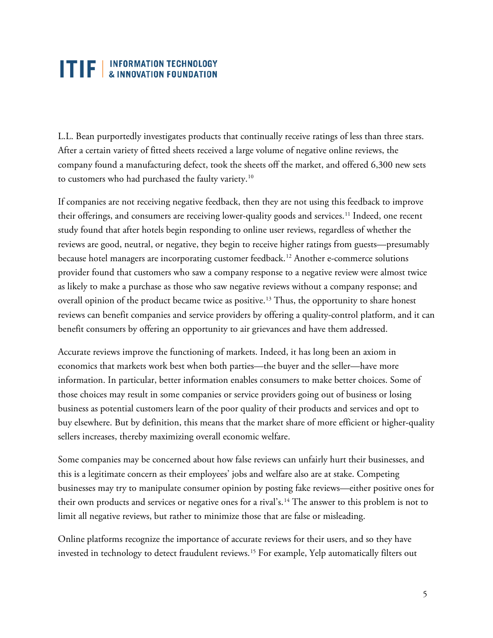# **TTP** NFORMATION TECHNOLOGY

L.L. Bean purportedly investigates products that continually receive ratings of less than three stars. After a certain variety of fitted sheets received a large volume of negative online reviews, the company found a manufacturing defect, took the sheets off the market, and offered 6,300 new sets to customers who had purchased the faulty variety.[10](#page-8-8)

If companies are not receiving negative feedback, then they are not using this feedback to improve their offerings, and consumers are receiving lower-quality goods and services.<sup>[11](#page-8-9)</sup> Indeed, one recent study found that after hotels begin responding to online user reviews, regardless of whether the reviews are good, neutral, or negative, they begin to receive higher ratings from guests—presumably because hotel managers are incorporating customer feedback.<sup>[12](#page-8-10)</sup> Another e-commerce solutions provider found that customers who saw a company response to a negative review were almost twice as likely to make a purchase as those who saw negative reviews without a company response; and overall opinion of the product became twice as positive.<sup>[13](#page-8-11)</sup> Thus, the opportunity to share honest reviews can benefit companies and service providers by offering a quality-control platform, and it can benefit consumers by offering an opportunity to air grievances and have them addressed.

Accurate reviews improve the functioning of markets. Indeed, it has long been an axiom in economics that markets work best when both parties—the buyer and the seller—have more information. In particular, better information enables consumers to make better choices. Some of those choices may result in some companies or service providers going out of business or losing business as potential customers learn of the poor quality of their products and services and opt to buy elsewhere. But by definition, this means that the market share of more efficient or higher-quality sellers increases, thereby maximizing overall economic welfare.

Some companies may be concerned about how false reviews can unfairly hurt their businesses, and this is a legitimate concern as their employees' jobs and welfare also are at stake. Competing businesses may try to manipulate consumer opinion by posting fake reviews—either positive ones for their own products and services or negative ones for a rival's.<sup>[14](#page-8-12)</sup> The answer to this problem is not to limit all negative reviews, but rather to minimize those that are false or misleading.

Online platforms recognize the importance of accurate reviews for their users, and so they have invested in technology to detect fraudulent reviews.<sup>[15](#page-8-13)</sup> For example, Yelp automatically filters out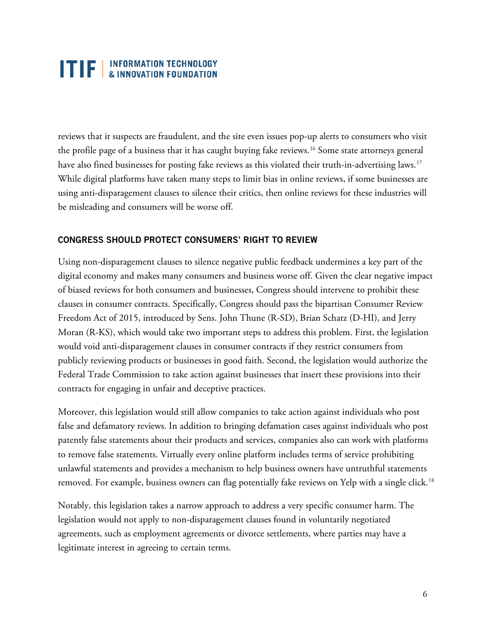## **ITIF** | INFORMATION TECHNOLOGY

reviews that it suspects are fraudulent, and the site even issues pop-up alerts to consumers who visit the profile page of a business that it has caught buying fake reviews.<sup>[16](#page-8-14)</sup> Some state attorneys general have also fined businesses for posting fake reviews as this violated their truth-in-advertising laws.<sup>[17](#page-8-15)</sup> While digital platforms have taken many steps to limit bias in online reviews, if some businesses are using anti-disparagement clauses to silence their critics, then online reviews for these industries will be misleading and consumers will be worse off.

#### **CONGRESS SHOULD PROTECT CONSUMERS' RIGHT TO REVIEW**

Using non-disparagement clauses to silence negative public feedback undermines a key part of the digital economy and makes many consumers and business worse off. Given the clear negative impact of biased reviews for both consumers and businesses, Congress should intervene to prohibit these clauses in consumer contracts. Specifically, Congress should pass the bipartisan Consumer Review Freedom Act of 2015, introduced by Sens. John Thune (R-SD), Brian Schatz (D-HI), and Jerry Moran (R-KS), which would take two important steps to address this problem. First, the legislation would void anti-disparagement clauses in consumer contracts if they restrict consumers from publicly reviewing products or businesses in good faith. Second, the legislation would authorize the Federal Trade Commission to take action against businesses that insert these provisions into their contracts for engaging in unfair and deceptive practices.

Moreover, this legislation would still allow companies to take action against individuals who post false and defamatory reviews. In addition to bringing defamation cases against individuals who post patently false statements about their products and services, companies also can work with platforms to remove false statements. Virtually every online platform includes terms of service prohibiting unlawful statements and provides a mechanism to help business owners have untruthful statements removed. For example, business owners can flag potentially fake reviews on Yelp with a single click.<sup>[18](#page-8-16)</sup>

Notably, this legislation takes a narrow approach to address a very specific consumer harm. The legislation would not apply to non-disparagement clauses found in voluntarily negotiated agreements, such as employment agreements or divorce settlements, where parties may have a legitimate interest in agreeing to certain terms.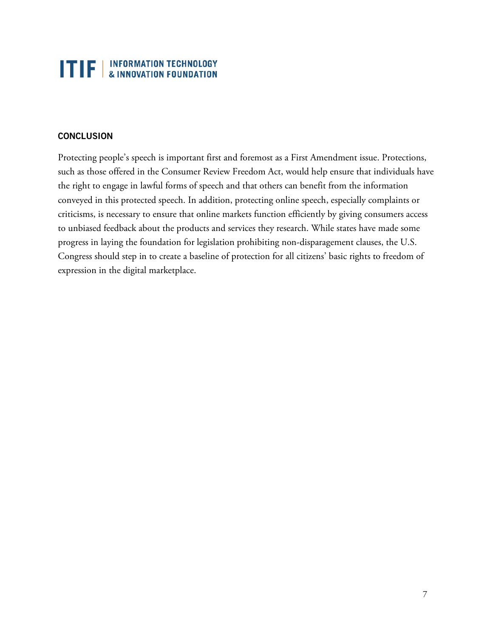# **TTF** | INFORMATION TECHNOLOGY

### **CONCLUSION**

Protecting people's speech is important first and foremost as a First Amendment issue. Protections, such as those offered in the Consumer Review Freedom Act, would help ensure that individuals have the right to engage in lawful forms of speech and that others can benefit from the information conveyed in this protected speech. In addition, protecting online speech, especially complaints or criticisms, is necessary to ensure that online markets function efficiently by giving consumers access to unbiased feedback about the products and services they research. While states have made some progress in laying the foundation for legislation prohibiting non-disparagement clauses, the U.S. Congress should step in to create a baseline of protection for all citizens' basic rights to freedom of expression in the digital marketplace.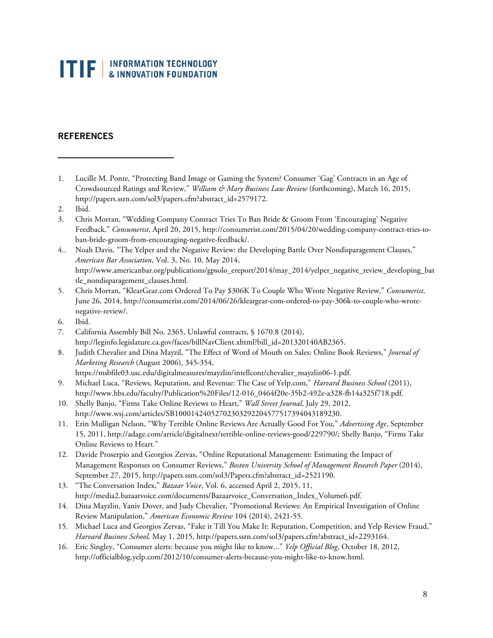# **TIF** EXPRORMATION TECHNOLOGY

### **REFERENCES**

- <span id="page-7-0"></span>1. Lucille M. Ponte, "Protecting Band Image or Gaming the System? Consumer 'Gag' Contracts in an Age of Crowdsourced Ratings and Review," *William & Mary Business Law Review* (forthcoming), March 16, 2015, http://papers.ssrn.com/sol3/papers.cfm?abstract\_id=2579172.
- 2. Ibid.

1

- 3. Chris Morran, "Wedding Company Contract Tries To Ban Bride & Groom From 'Encouraging' Negative Feedback," *Consumerist*, April 20, 2015, http://consumerist.com/2015/04/20/wedding-company-contract-tries-toban-bride-groom-from-encouraging-negative-feedback/.
- 4.. Noah Davis, "The Yelper and the Negative Review: the Developing Battle Over Nondisparagement Clauses," *American Bar Association*, Vol. 3, No. 10, May 2014, http://www.americanbar.org/publications/gpsolo\_ereport/2014/may\_2014/yelper\_negative\_review\_developing\_bat tle\_nondisparagement\_clauses.html.
- 5. Chris Morran, "KlearGear.com Ordered To Pay \$306K To Couple Who Wrote Negative Review," *Consumerist*, June 26, 2014, http://consumerist.com/2014/06/26/kleargear-com-ordered-to-pay-306k-to-couple-who-wrotenegative-review/.
- 6. Ibid.
- 7. California Assembly Bill No. 2365, Unlawful contracts, § 1670.8 (2014), http://leginfo.legislature.ca.gov/faces/billNavClient.xhtml?bill\_id=201320140AB2365.
- 8. Judith Chevalier and Dina Mayzil, "The Effect of Word of Mouth on Sales: Online Book Reviews," *Journal of Marketing Research* (August 2006), 345-354,
	- https://msbfile03.usc.edu/digitalmeasures/mayzlin/intellcont/chevalier\_mayzlin06-1.pdf.
- 9. Michael Luca, "Reviews, Reputation, and Revenue: The Case of Yelp.com," *Harvard Business School* (2011), http://www.hbs.edu/faculty/Publication%20Files/12-016\_0464f20e-35b2-492e-a328-fb14a325f718.pdf.
- 10. Shelly Banjo, "Firms Take Online Reviews to Heart," *Wall Street Journal*, July 29, 2012, http://www.wsj.com/articles/SB10001424052702303292204577517394043189230.
- 11. Erin Mulligan Nelson, "Why Terrible Online Reviews Are Actually Good For You," *Advertising Age*, September 15, 2011, http://adage.com/article/digitalnext/terrible-online-reviews-good/229790/; Shelly Banjo, "Firms Take Online Reviews to Heart."
- 12. Davide Proserpio and Georgios Zervas, "Online Reputational Management: Estimating the Impact of Management Responses on Consumer Reviews," *Boston University School of Management Research Paper* (2014), September 27, 2015, http://papers.ssrn.com/sol3/Papers.cfm?abstract\_id=2521190.
- 13. "The Conversation Index," *Bazaar Voice*, Vol. 6, accessed April 2, 2015, 11, http://media2.bazaarvoice.com/documents/Bazaarvoice\_Conversation\_Index\_Volume6.pdf.
- 14. Dina Mayzlin, Yaniv Dover, and Judy Chevalier, "Promotional Reviews: An Empirical Investigation of Online Review Manipulation," *American Economic Review* 104 (2014), 2421-55.
- 15. Michael Luca and Georgios Zervas, "Fake it Till You Make It: Reputation, Competition, and Yelp Review Fraud," *Harvard Business School,* May 1, 2015, http://papers.ssrn.com/sol3/papers.cfm?abstract\_id=2293164.
- 16. Eric Singley, "Consumer alerts: because you might like to know..." *Yelp Official Blog*, October 18, 2012, http://officialblog.yelp.com/2012/10/consumer-alerts-because-you-might-like-to-know.html.